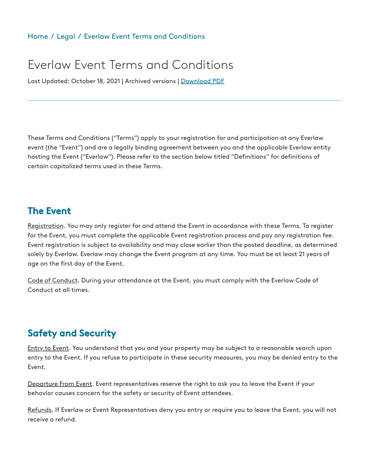# Everlaw Event Terms and Conditions

Last Updated: October 18, 2021 | Archived versions | [Download](https://www.everlaw.com/) PDF

These Terms and Conditions ("Terms") apply to your registration for and participation at any Everlaw event (the "Event") and are a legally binding agreement between you and the applicable Everlaw entity hosting the Event ("Everlaw"). Please refer to the section below titled "Definitions" for definitions of certain capitalized terms used in these Terms.

#### The Event

Registration. You may only register for and attend the Event in accordance with these Terms. To register for the Event, you must complete the applicable Event registration process and pay any registration fee. Event registration is subject to availability and may close earlier than the posted deadline, as determined solely by Everlaw. Everlaw may change the Event program at any time. You must be at least 21 years of age on the first day of the Event.

Code of Conduct. During your attendance at the Event, you must comply with the Everlaw Code of Conduct at all times.

# Safety and Security

Entry to Event. You understand that you and your property may be subject to a reasonable search upon entry to the Event. If you refuse to participate in these security measures, you may be denied entry to the Event.

Departure From Event. Event representatives reserve the right to ask you to leave the Event if your behavior causes concern for the safety or security of Event attendees.

Refunds. If Everlaw or Event Representatives deny you entry or require you to leave the Event, you will not receive a refund.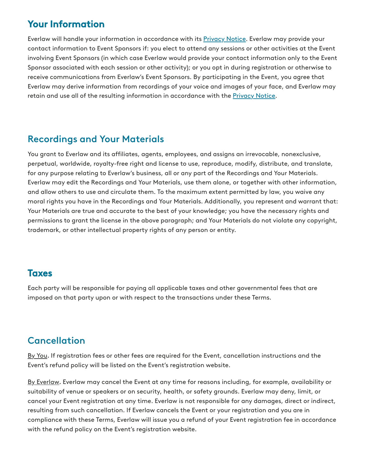# Your Information

Everlaw will handle your information in accordance with its [Privacy](https://everlaw.com/privacy-notice/) Notice. Everlaw may provide your contact information to Event Sponsors if: you elect to attend any sessions or other activities at the Event involving Event Sponsors (in which case Everlaw would provide your contact information only to the Event Sponsor associated with each session or other activity); or you opt in during registration or otherwise to receive communications from Everlaw's Event Sponsors. By participating in the Event, you agree that Everlaw may derive information from recordings of your voice and images of your face, and Everlaw may retain and use all of the resulting information in accordance with the [Privacy](https://everlaw.com/privacy-notice/) Notice.

# Recordings and Your Materials

You grant to Everlaw and its affiliates, agents, employees, and assigns an irrevocable, nonexclusive, perpetual, worldwide, royalty-free right and license to use, reproduce, modify, distribute, and translate, for any purpose relating to Everlaw's business, all or any part of the Recordings and Your Materials. Everlaw may edit the Recordings and Your Materials, use them alone, or together with other information, and allow others to use and circulate them. To the maximum extent permitted by law, you waive any moral rights you have in the Recordings and Your Materials. Additionally, you represent and warrant that: Your Materials are true and accurate to the best of your knowledge; you have the necessary rights and permissions to grant the license in the above paragraph; and Your Materials do not violate any copyright, trademark, or other intellectual property rights of any person or entity.

# **Taxes**

Each party will be responsible for paying all applicable taxes and other governmental fees that are imposed on that party upon or with respect to the transactions under these Terms.

# Cancellation

By You. If registration fees or other fees are required for the Event, cancellation instructions and the Event's refund policy will be listed on the Event's registration website.

By Everlaw. Everlaw may cancel the Event at any time for reasons including, for example, availability or suitability of venue or speakers or on security, health, or safety grounds. Everlaw may deny, limit, or cancel your Event registration at any time. Everlaw is not responsible for any damages, direct or indirect, resulting from such cancellation. If Everlaw cancels the Event or your registration and you are in compliance with these Terms, Everlaw will issue you a refund of your Event registration fee in accordance with the refund policy on the Event's registration website.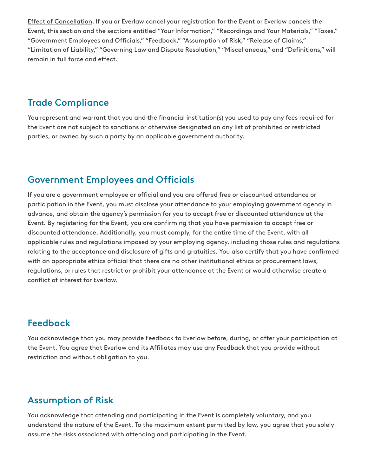Effect of Cancellation. If you or Everlaw cancel your registration for the Event or Everlaw cancels the Event, this section and the sections entitled "Your Information," "Recordings and Your Materials," "Taxes," "Government Employees and Officials," "Feedback," "Assumption of Risk," "Release of Claims," "Limitation of Liability," "Governing Law and Dispute Resolution," "Miscellaneous," and "Definitions," will remain in full force and effect.

#### Trade Compliance

You represent and warrant that you and the financial institution(s) you used to pay any fees required for the Event are not subject to sanctions or otherwise designated on any list of prohibited or restricted parties, or owned by such a party by an applicable government authority.

#### Government Employees and Officials

If you are a government employee or official and you are offered free or discounted attendance or participation in the Event, you must disclose your attendance to your employing government agency in advance, and obtain the agency's permission for you to accept free or discounted attendance at the Event. By registering for the Event, you are confirming that you have permission to accept free or discounted attendance. Additionally, you must comply, for the entire time of the Event, with all applicable rules and regulations imposed by your employing agency, including those rules and regulations relating to the acceptance and disclosure of gifts and gratuities. You also certify that you have confirmed with an appropriate ethics official that there are no other institutional ethics or procurement laws, regulations, or rules that restrict or prohibit your attendance at the Event or would otherwise create a conflict of interest for Everlaw.

# Feedback

You acknowledge that you may provide Feedback to Everlaw before, during, or after your participation at the Event. You agree that Everlaw and its Affiliates may use any Feedback that you provide without restriction and without obligation to you.

# Assumption of Risk

You acknowledge that attending and participating in the Event is completely voluntary, and you understand the nature of the Event. To the maximum extent permitted by law, you agree that you solely assume the risks associated with attending and participating in the Event.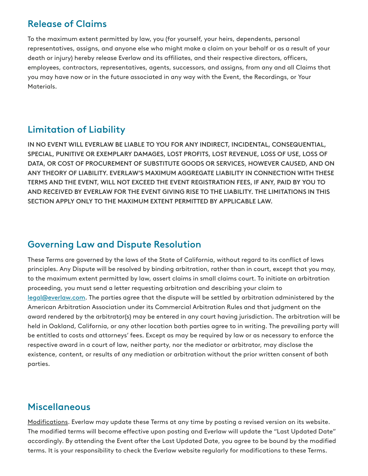#### Release of Claims

To the maximum extent permitted by law, you (for yourself, your heirs, dependents, personal representatives, assigns, and anyone else who might make a claim on your behalf or as a result of your death or injury) hereby release Everlaw and its affiliates, and their respective directors, officers, employees, contractors, representatives, agents, successors, and assigns, from any and all Claims that you may have now or in the future associated in any way with the Event, the Recordings, or Your Materials.

# Limitation of Liability

IN NO EVENT WILL EVERLAW BE LIABLE TO YOU FOR ANY INDIRECT, INCIDENTAL, CONSEQUENTIAL, SPECIAL, PUNITIVE OR EXEMPLARY DAMAGES, LOST PROFITS, LOST REVENUE, LOSS OF USE, LOSS OF DATA, OR COST OF PROCUREMENT OF SUBSTITUTE GOODS OR SERVICES, HOWEVER CAUSED, AND ON ANY THEORY OF LIABILITY. EVERLAW'S MAXIMUM AGGREGATE LIABILITY IN CONNECTION WITH THESE TERMS AND THE EVENT, WILL NOT EXCEED THE EVENT REGISTRATION FEES, IF ANY, PAID BY YOU TO AND RECEIVED BY EVERLAW FOR THE EVENT GIVING RISE TO THE LIABILITY. THE LIMITATIONS IN THIS SECTION APPLY ONLY TO THE MAXIMUM EXTENT PERMITTED BY APPLICABLE LAW.

# Governing Law and Dispute Resolution

These Terms are governed by the laws of the State of California, without regard to its conflict of laws principles. Any Dispute will be resolved by binding arbitration, rather than in court, except that you may, to the maximum extent permitted by law, assert claims in small claims court. To initiate an arbitration proceeding, you must send a letter requesting arbitration and describing your claim to [legal@everlaw.com.](mailto:legal@everlaw.com) The parties agree that the dispute will be settled by arbitration administered by the American Arbitration Association under its Commercial Arbitration Rules and that judgment on the award rendered by the arbitrator(s) may be entered in any court having jurisdiction. The arbitration will be held in Oakland, California, or any other location both parties agree to in writing. The prevailing party will be entitled to costs and attorneys' fees. Except as may be required by law or as necessary to enforce the respective award in a court of law, neither party, nor the mediator or arbitrator, may disclose the existence, content, or results of any mediation or arbitration without the prior written consent of both parties.

# **Miscellaneous**

Modifications. Everlaw may update these Terms at any time by posting a revised version on its website. The modified terms will become effective upon posting and Everlaw will update the "Last Updated Date" accordingly. By attending the Event after the Last Updated Date, you agree to be bound by the modified terms. It is your responsibility to check the Everlaw website regularly for modifications to these Terms.